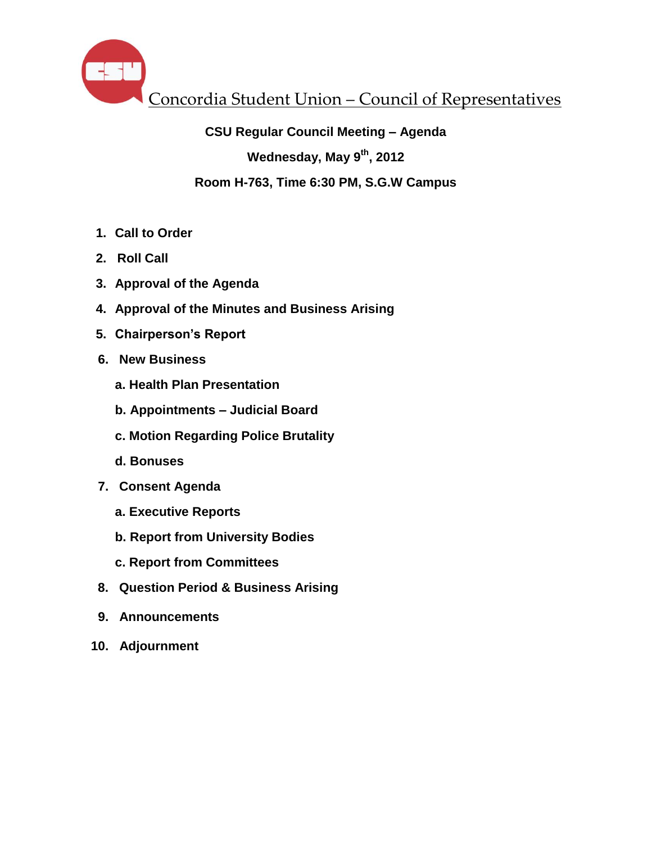

# **CSU Regular Council Meeting – Agenda**

**Wednesday, May 9th, 2012**

# **Room H-763, Time 6:30 PM, S.G.W Campus**

- **1. Call to Order**
- **2. Roll Call**
- **3. Approval of the Agenda**
- **4. Approval of the Minutes and Business Arising**
- **5. Chairperson's Report**
- **6. New Business**
	- **a. Health Plan Presentation**
	- **b. Appointments – Judicial Board**
	- **c. Motion Regarding Police Brutality**
	- **d. Bonuses**
- **7. Consent Agenda**
	- **a. Executive Reports**
	- **b. Report from University Bodies**
	- **c. Report from Committees**
- **8. Question Period & Business Arising**
- **9. Announcements**
- **10. Adjournment**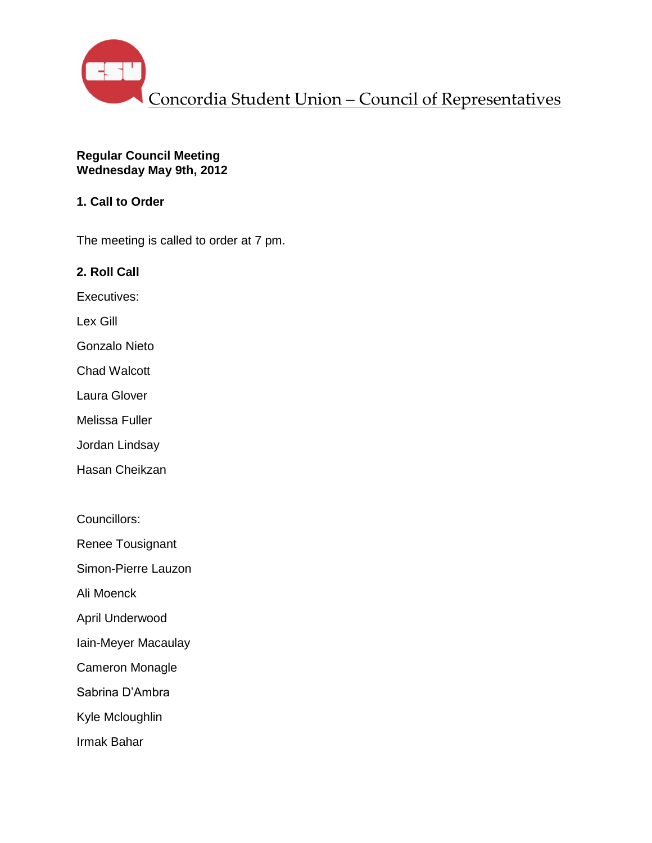

#### **Regular Council Meeting Wednesday May 9th, 2012**

# **1. Call to Order**

The meeting is called to order at 7 pm.

**2. Roll Call**

Executives:

Lex Gill

Gonzalo Nieto

Chad Walcott

Laura Glover

Melissa Fuller

Jordan Lindsay

Hasan Cheikzan

Councillors:

Renee Tousignant

Simon-Pierre Lauzon

Ali Moenck

April Underwood

Iain-Meyer Macaulay

Cameron Monagle

Sabrina D'Ambra

Kyle Mcloughlin

Irmak Bahar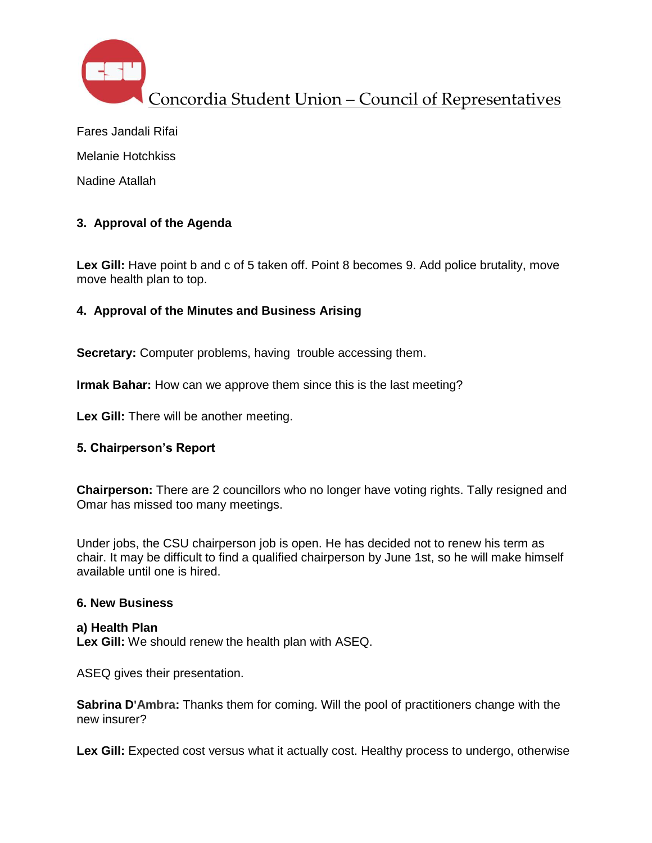

Fares Jandali Rifai Melanie Hotchkiss Nadine Atallah

# **3. Approval of the Agenda**

Lex Gill: Have point b and c of 5 taken off. Point 8 becomes 9. Add police brutality, move move health plan to top.

# **4. Approval of the Minutes and Business Arising**

**Secretary:** Computer problems, having trouble accessing them.

**Irmak Bahar:** How can we approve them since this is the last meeting?

**Lex Gill:** There will be another meeting.

# **5. Chairperson's Report**

**Chairperson:** There are 2 councillors who no longer have voting rights. Tally resigned and Omar has missed too many meetings.

Under jobs, the CSU chairperson job is open. He has decided not to renew his term as chair. It may be difficult to find a qualified chairperson by June 1st, so he will make himself available until one is hired.

### **6. New Business**

#### **a) Health Plan Lex Gill:** We should renew the health plan with ASEQ.

ASEQ gives their presentation.

**Sabrina D'Ambra:** Thanks them for coming. Will the pool of practitioners change with the new insurer?

Lex Gill: Expected cost versus what it actually cost. Healthy process to undergo, otherwise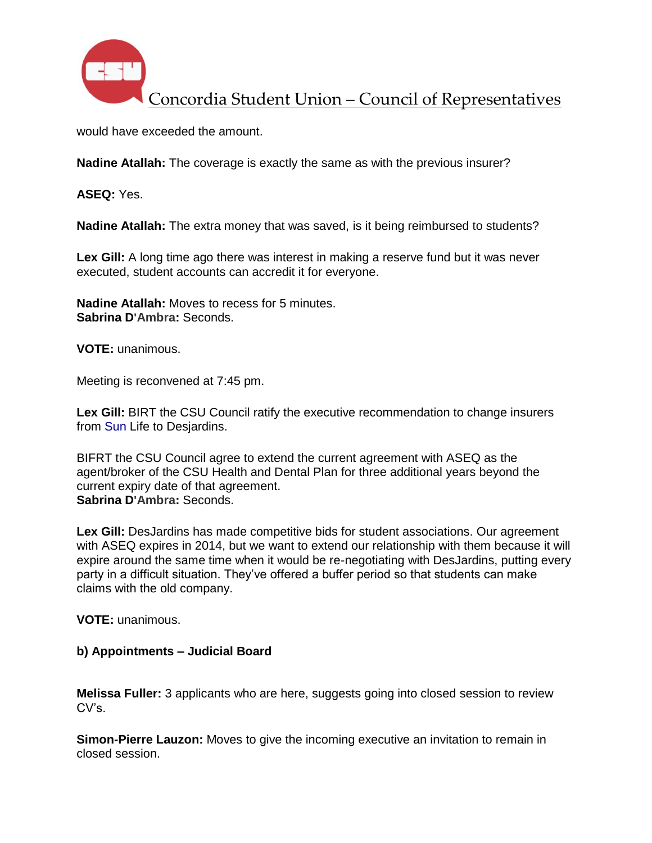

would have exceeded the amount.

**Nadine Atallah:** The coverage is exactly the same as with the previous insurer?

**ASEQ:** Yes.

**Nadine Atallah:** The extra money that was saved, is it being reimbursed to students?

Lex Gill: A long time ago there was interest in making a reserve fund but it was never executed, student accounts can accredit it for everyone.

**Nadine Atallah:** Moves to recess for 5 minutes. **Sabrina D'Ambra:** Seconds.

**VOTE:** unanimous.

Meeting is reconvened at 7:45 pm.

**Lex Gill:** BIRT the CSU Council ratify the executive recommendation to change insurers from Sun Life to Desjardins.

BIFRT the CSU Council agree to extend the current agreement with ASEQ as the agent/broker of the CSU Health and Dental Plan for three additional years beyond the current expiry date of that agreement. **Sabrina D'Ambra:** Seconds.

**Lex Gill:** DesJardins has made competitive bids for student associations. Our agreement with ASEQ expires in 2014, but we want to extend our relationship with them because it will expire around the same time when it would be re-negotiating with DesJardins, putting every party in a difficult situation. They've offered a buffer period so that students can make claims with the old company.

**VOTE:** unanimous.

#### **b) Appointments – Judicial Board**

**Melissa Fuller:** 3 applicants who are here, suggests going into closed session to review CV's.

**Simon-Pierre Lauzon:** Moves to give the incoming executive an invitation to remain in closed session.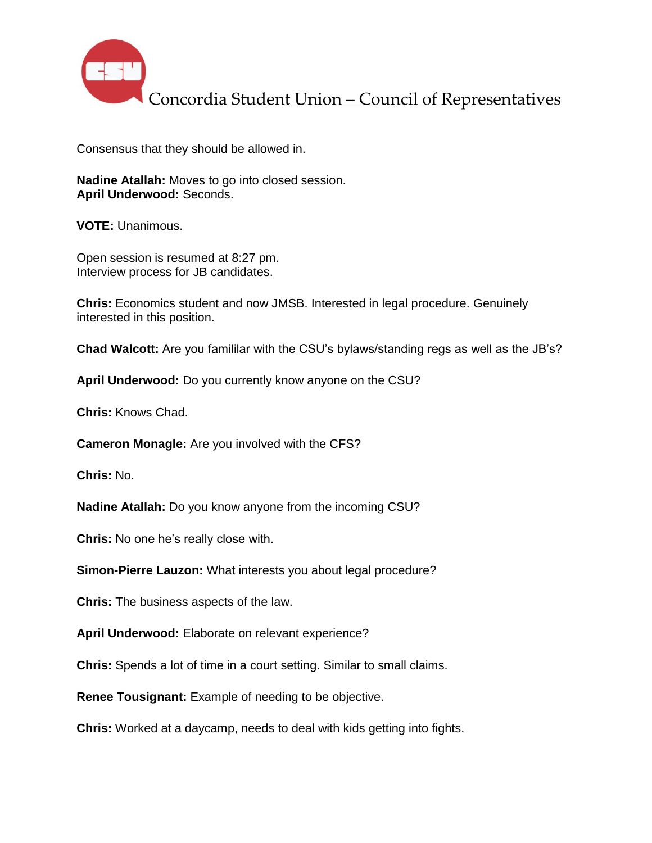

Consensus that they should be allowed in.

**Nadine Atallah:** Moves to go into closed session. **April Underwood:** Seconds.

**VOTE:** Unanimous.

Open session is resumed at 8:27 pm. Interview process for JB candidates.

**Chris:** Economics student and now JMSB. Interested in legal procedure. Genuinely interested in this position.

**Chad Walcott:** Are you famililar with the CSU's bylaws/standing regs as well as the JB's?

**April Underwood:** Do you currently know anyone on the CSU?

**Chris:** Knows Chad.

**Cameron Monagle:** Are you involved with the CFS?

**Chris:** No.

**Nadine Atallah:** Do you know anyone from the incoming CSU?

**Chris:** No one he's really close with.

**Simon-Pierre Lauzon:** What interests you about legal procedure?

**Chris:** The business aspects of the law.

**April Underwood:** Elaborate on relevant experience?

**Chris:** Spends a lot of time in a court setting. Similar to small claims.

**Renee Tousignant:** Example of needing to be objective.

**Chris:** Worked at a daycamp, needs to deal with kids getting into fights.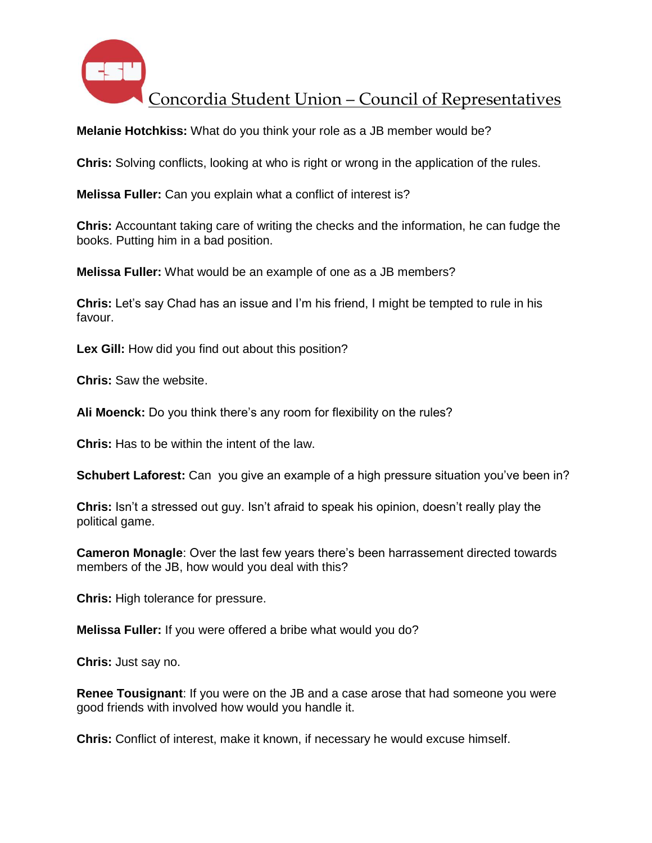

**Melanie Hotchkiss:** What do you think your role as a JB member would be?

**Chris:** Solving conflicts, looking at who is right or wrong in the application of the rules.

**Melissa Fuller:** Can you explain what a conflict of interest is?

**Chris:** Accountant taking care of writing the checks and the information, he can fudge the books. Putting him in a bad position.

**Melissa Fuller:** What would be an example of one as a JB members?

**Chris:** Let's say Chad has an issue and I'm his friend, I might be tempted to rule in his favour.

Lex Gill: How did you find out about this position?

**Chris:** Saw the website.

**Ali Moenck:** Do you think there's any room for flexibility on the rules?

**Chris:** Has to be within the intent of the law.

**Schubert Laforest:** Can you give an example of a high pressure situation you've been in?

**Chris:** Isn't a stressed out guy. Isn't afraid to speak his opinion, doesn't really play the political game.

**Cameron Monagle**: Over the last few years there's been harrassement directed towards members of the JB, how would you deal with this?

**Chris:** High tolerance for pressure.

**Melissa Fuller:** If you were offered a bribe what would you do?

**Chris:** Just say no.

**Renee Tousignant**: If you were on the JB and a case arose that had someone you were good friends with involved how would you handle it.

**Chris:** Conflict of interest, make it known, if necessary he would excuse himself.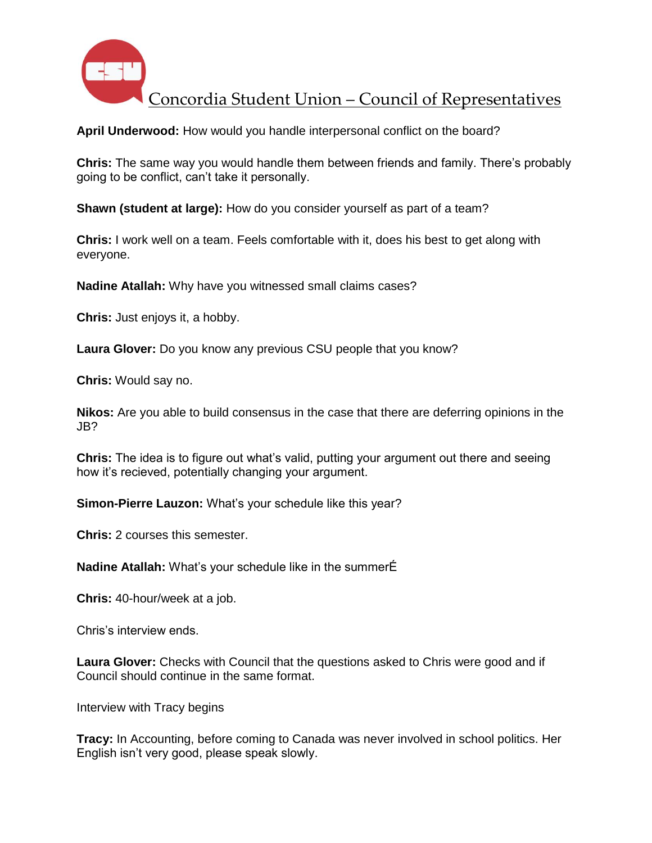

**April Underwood:** How would you handle interpersonal conflict on the board?

**Chris:** The same way you would handle them between friends and family. There's probably going to be conflict, can't take it personally.

**Shawn (student at large):** How do you consider yourself as part of a team?

**Chris:** I work well on a team. Feels comfortable with it, does his best to get along with everyone.

**Nadine Atallah:** Why have you witnessed small claims cases?

**Chris:** Just enjoys it, a hobby.

**Laura Glover:** Do you know any previous CSU people that you know?

**Chris:** Would say no.

**Nikos:** Are you able to build consensus in the case that there are deferring opinions in the JB?

**Chris:** The idea is to figure out what's valid, putting your argument out there and seeing how it's recieved, potentially changing your argument.

**Simon-Pierre Lauzon:** What's your schedule like this year?

**Chris:** 2 courses this semester.

**Nadine Atallah:** What's your schedule like in the summerÉ

**Chris:** 40-hour/week at a job.

Chris's interview ends.

**Laura Glover:** Checks with Council that the questions asked to Chris were good and if Council should continue in the same format.

Interview with Tracy begins

**Tracy:** In Accounting, before coming to Canada was never involved in school politics. Her English isn't very good, please speak slowly.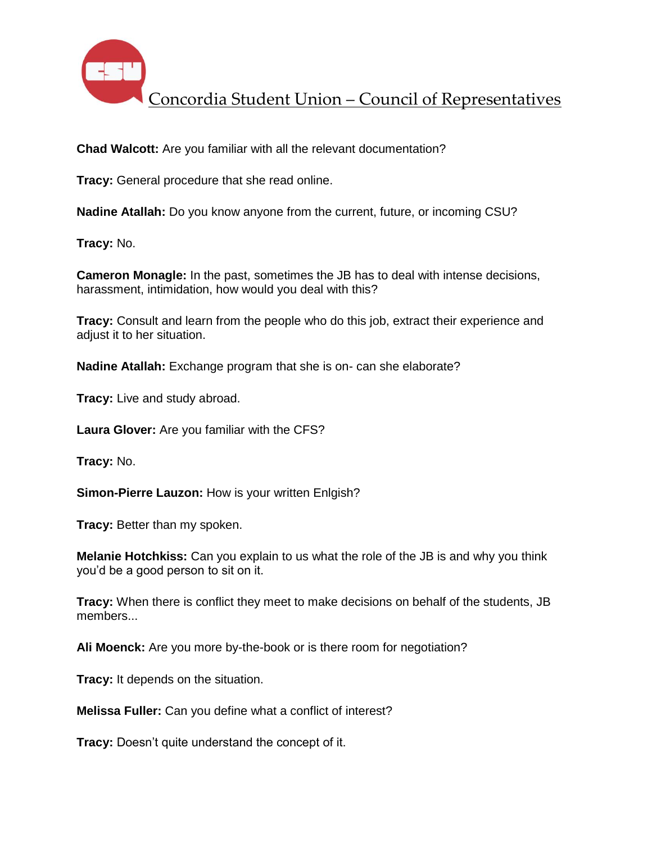

**Chad Walcott:** Are you familiar with all the relevant documentation?

**Tracy:** General procedure that she read online.

**Nadine Atallah:** Do you know anyone from the current, future, or incoming CSU?

**Tracy:** No.

**Cameron Monagle:** In the past, sometimes the JB has to deal with intense decisions, harassment, intimidation, how would you deal with this?

**Tracy:** Consult and learn from the people who do this job, extract their experience and adiust it to her situation.

**Nadine Atallah:** Exchange program that she is on- can she elaborate?

**Tracy:** Live and study abroad.

**Laura Glover:** Are you familiar with the CFS?

**Tracy:** No.

**Simon-Pierre Lauzon:** How is your written Enlgish?

**Tracy:** Better than my spoken.

**Melanie Hotchkiss:** Can you explain to us what the role of the JB is and why you think you'd be a good person to sit on it.

**Tracy:** When there is conflict they meet to make decisions on behalf of the students, JB members...

**Ali Moenck:** Are you more by-the-book or is there room for negotiation?

**Tracy:** It depends on the situation.

**Melissa Fuller:** Can you define what a conflict of interest?

**Tracy:** Doesn't quite understand the concept of it.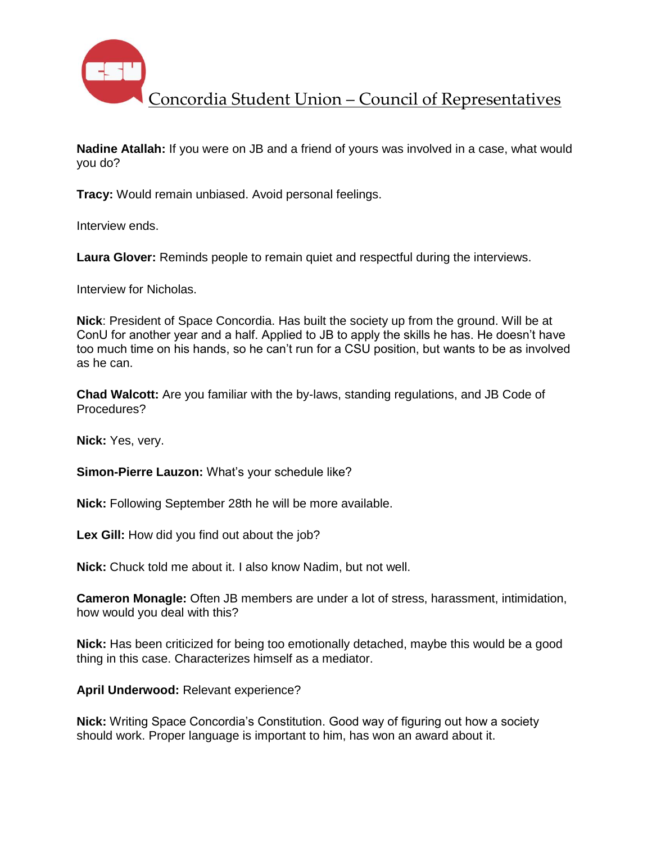

**Nadine Atallah:** If you were on JB and a friend of yours was involved in a case, what would you do?

**Tracy:** Would remain unbiased. Avoid personal feelings.

Interview ends.

**Laura Glover:** Reminds people to remain quiet and respectful during the interviews.

Interview for Nicholas.

**Nick**: President of Space Concordia. Has built the society up from the ground. Will be at ConU for another year and a half. Applied to JB to apply the skills he has. He doesn't have too much time on his hands, so he can't run for a CSU position, but wants to be as involved as he can.

**Chad Walcott:** Are you familiar with the by-laws, standing regulations, and JB Code of Procedures?

**Nick:** Yes, very.

**Simon-Pierre Lauzon:** What's your schedule like?

**Nick:** Following September 28th he will be more available.

Lex Gill: How did you find out about the job?

**Nick:** Chuck told me about it. I also know Nadim, but not well.

**Cameron Monagle:** Often JB members are under a lot of stress, harassment, intimidation, how would you deal with this?

**Nick:** Has been criticized for being too emotionally detached, maybe this would be a good thing in this case. Characterizes himself as a mediator.

**April Underwood:** Relevant experience?

**Nick:** Writing Space Concordia's Constitution. Good way of figuring out how a society should work. Proper language is important to him, has won an award about it.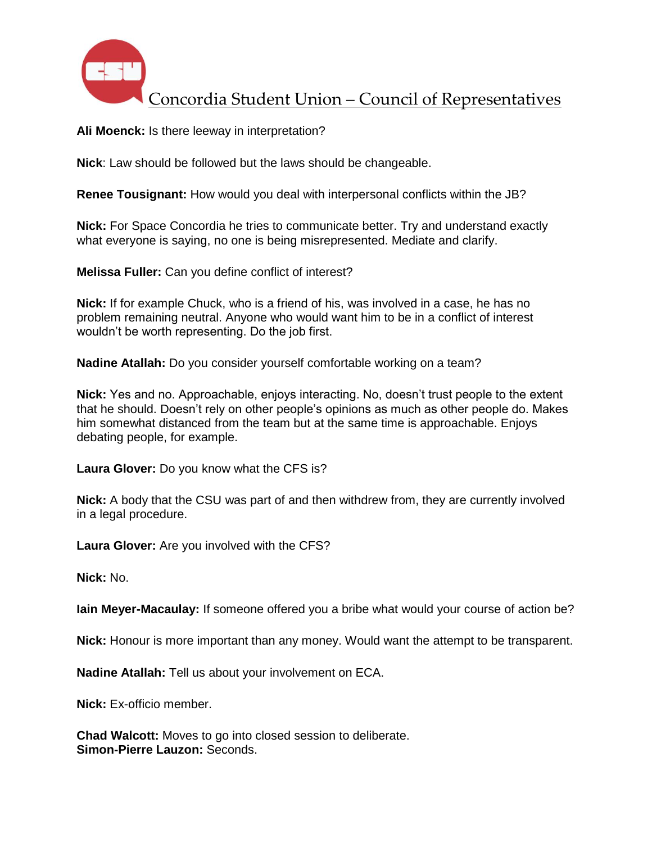

**Ali Moenck:** Is there leeway in interpretation?

**Nick**: Law should be followed but the laws should be changeable.

**Renee Tousignant:** How would you deal with interpersonal conflicts within the JB?

**Nick:** For Space Concordia he tries to communicate better. Try and understand exactly what everyone is saying, no one is being misrepresented. Mediate and clarify.

**Melissa Fuller:** Can you define conflict of interest?

**Nick:** If for example Chuck, who is a friend of his, was involved in a case, he has no problem remaining neutral. Anyone who would want him to be in a conflict of interest wouldn't be worth representing. Do the job first.

**Nadine Atallah:** Do you consider yourself comfortable working on a team?

**Nick:** Yes and no. Approachable, enjoys interacting. No, doesn't trust people to the extent that he should. Doesn't rely on other people's opinions as much as other people do. Makes him somewhat distanced from the team but at the same time is approachable. Enjoys debating people, for example.

**Laura Glover:** Do you know what the CFS is?

**Nick:** A body that the CSU was part of and then withdrew from, they are currently involved in a legal procedure.

**Laura Glover:** Are you involved with the CFS?

**Nick:** No.

**Iain Meyer-Macaulay:** If someone offered you a bribe what would your course of action be?

**Nick:** Honour is more important than any money. Would want the attempt to be transparent.

**Nadine Atallah:** Tell us about your involvement on ECA.

**Nick:** Ex-officio member.

**Chad Walcott:** Moves to go into closed session to deliberate. **Simon-Pierre Lauzon:** Seconds.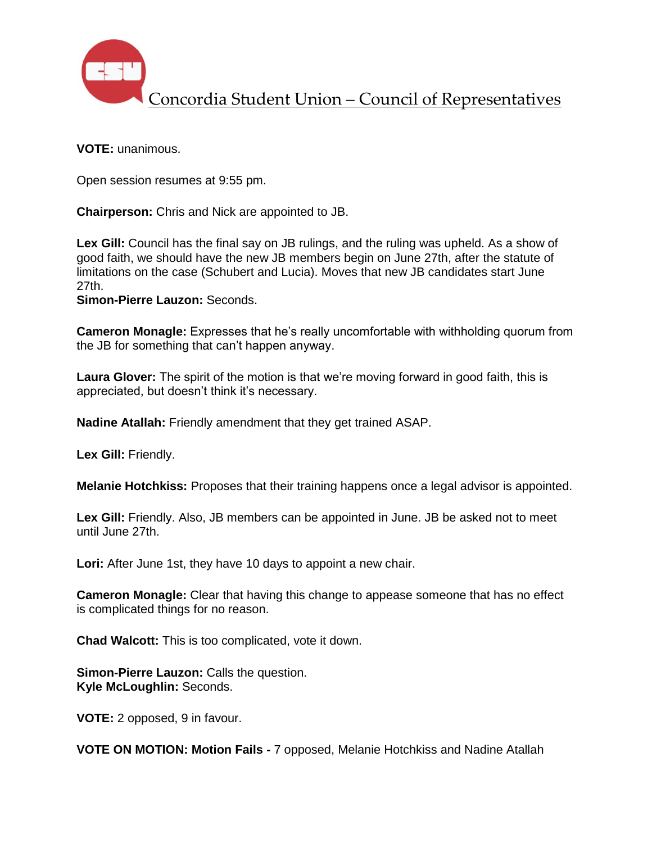

**VOTE:** unanimous.

Open session resumes at 9:55 pm.

**Chairperson:** Chris and Nick are appointed to JB.

**Lex Gill:** Council has the final say on JB rulings, and the ruling was upheld. As a show of good faith, we should have the new JB members begin on June 27th, after the statute of limitations on the case (Schubert and Lucia). Moves that new JB candidates start June 27th.

**Simon-Pierre Lauzon:** Seconds.

**Cameron Monagle:** Expresses that he's really uncomfortable with withholding quorum from the JB for something that can't happen anyway.

**Laura Glover:** The spirit of the motion is that we're moving forward in good faith, this is appreciated, but doesn't think it's necessary.

**Nadine Atallah:** Friendly amendment that they get trained ASAP.

**Lex Gill:** Friendly.

**Melanie Hotchkiss:** Proposes that their training happens once a legal advisor is appointed.

**Lex Gill:** Friendly. Also, JB members can be appointed in June. JB be asked not to meet until June 27th.

Lori: After June 1st, they have 10 days to appoint a new chair.

**Cameron Monagle:** Clear that having this change to appease someone that has no effect is complicated things for no reason.

**Chad Walcott:** This is too complicated, vote it down.

**Simon-Pierre Lauzon:** Calls the question. **Kyle McLoughlin:** Seconds.

**VOTE:** 2 opposed, 9 in favour.

**VOTE ON MOTION: Motion Fails -** 7 opposed, Melanie Hotchkiss and Nadine Atallah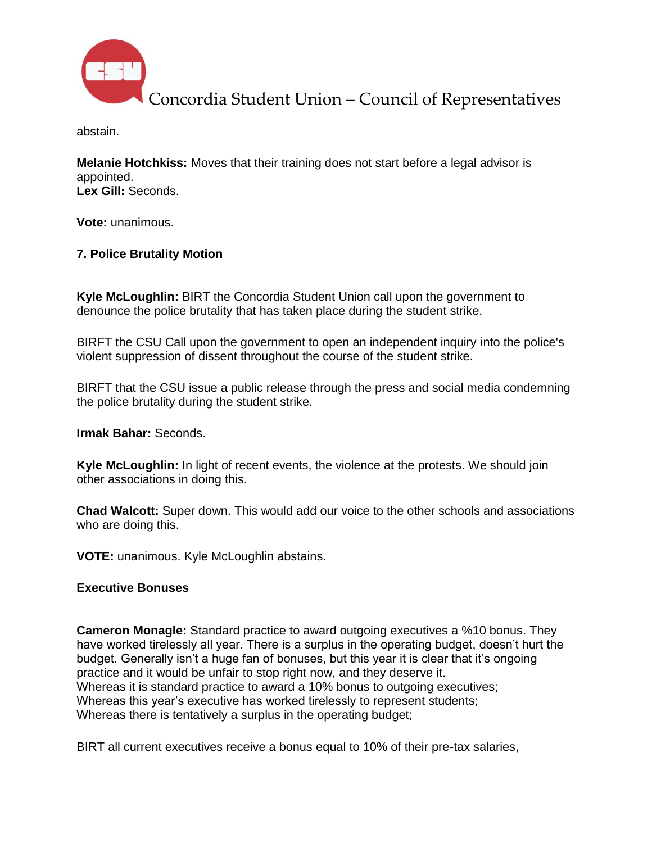

abstain.

**Melanie Hotchkiss:** Moves that their training does not start before a legal advisor is appointed. **Lex Gill:** Seconds.

**Vote:** unanimous.

## **7. Police Brutality Motion**

**Kyle McLoughlin:** BIRT the Concordia Student Union call upon the government to denounce the police brutality that has taken place during the student strike.

BIRFT the CSU Call upon the government to open an independent inquiry into the police's violent suppression of dissent throughout the course of the student strike.

BIRFT that the CSU issue a public release through the press and social media condemning the police brutality during the student strike.

**Irmak Bahar:** Seconds.

**Kyle McLoughlin:** In light of recent events, the violence at the protests. We should join other associations in doing this.

**Chad Walcott:** Super down. This would add our voice to the other schools and associations who are doing this.

**VOTE:** unanimous. Kyle McLoughlin abstains.

### **Executive Bonuses**

**Cameron Monagle:** Standard practice to award outgoing executives a %10 bonus. They have worked tirelessly all year. There is a surplus in the operating budget, doesn't hurt the budget. Generally isn't a huge fan of bonuses, but this year it is clear that it's ongoing practice and it would be unfair to stop right now, and they deserve it. Whereas it is standard practice to award a 10% bonus to outgoing executives; Whereas this year's executive has worked tirelessly to represent students; Whereas there is tentatively a surplus in the operating budget;

BIRT all current executives receive a bonus equal to 10% of their pre-tax salaries,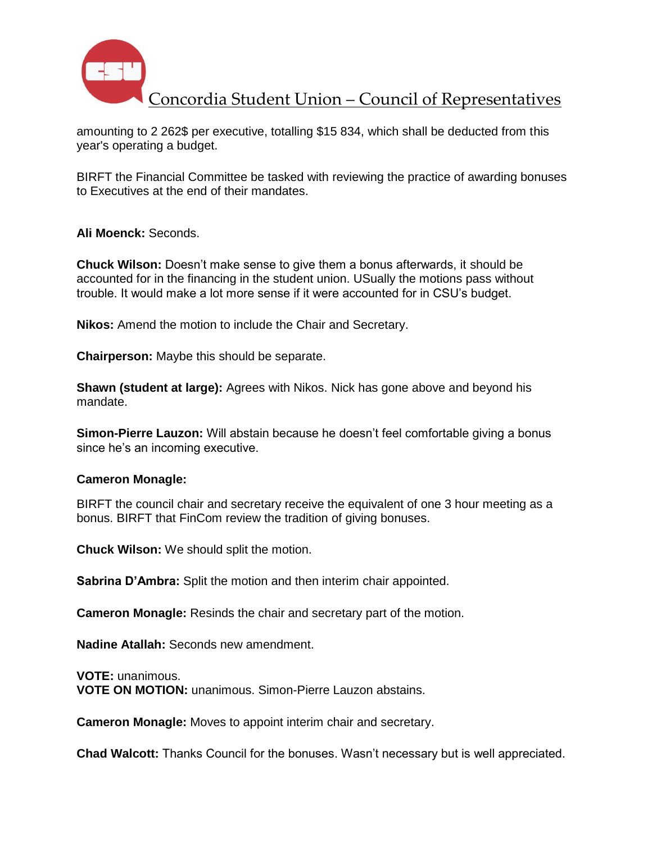

amounting to 2 262\$ per executive, totalling \$15 834, which shall be deducted from this year's operating a budget.

BIRFT the Financial Committee be tasked with reviewing the practice of awarding bonuses to Executives at the end of their mandates.

**Ali Moenck:** Seconds.

**Chuck Wilson:** Doesn't make sense to give them a bonus afterwards, it should be accounted for in the financing in the student union. USually the motions pass without trouble. It would make a lot more sense if it were accounted for in CSU's budget.

**Nikos:** Amend the motion to include the Chair and Secretary.

**Chairperson:** Maybe this should be separate.

**Shawn (student at large):** Agrees with Nikos. Nick has gone above and beyond his mandate.

**Simon-Pierre Lauzon:** Will abstain because he doesn't feel comfortable giving a bonus since he's an incoming executive.

#### **Cameron Monagle:**

BIRFT the council chair and secretary receive the equivalent of one 3 hour meeting as a bonus. BIRFT that FinCom review the tradition of giving bonuses.

**Chuck Wilson:** We should split the motion.

**Sabrina D'Ambra:** Split the motion and then interim chair appointed.

**Cameron Monagle:** Resinds the chair and secretary part of the motion.

**Nadine Atallah:** Seconds new amendment.

**VOTE:** unanimous. **VOTE ON MOTION:** unanimous. Simon-Pierre Lauzon abstains.

**Cameron Monagle:** Moves to appoint interim chair and secretary.

**Chad Walcott:** Thanks Council for the bonuses. Wasn't necessary but is well appreciated.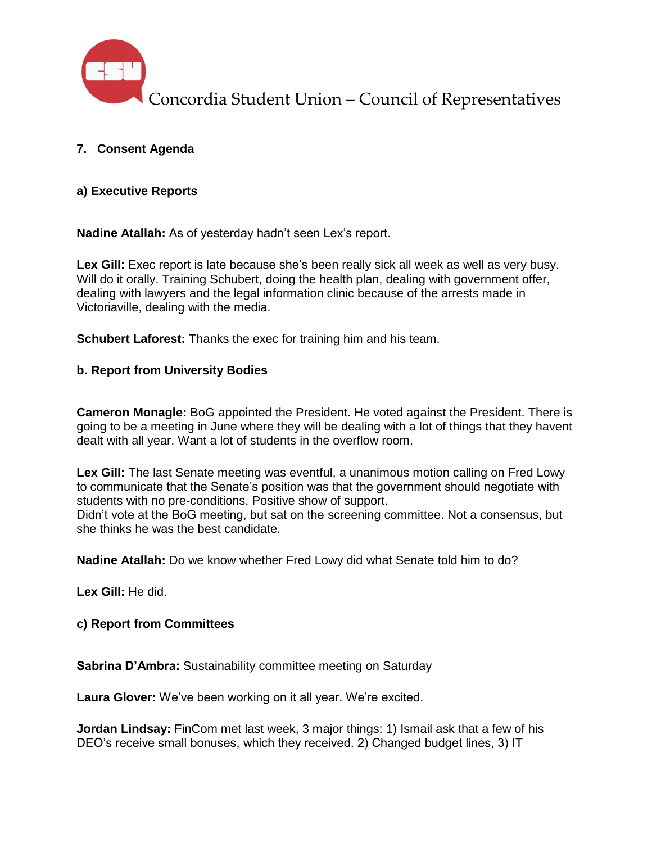

## **7. Consent Agenda**

### **a) Executive Reports**

**Nadine Atallah:** As of yesterday hadn't seen Lex's report.

**Lex Gill:** Exec report is late because she's been really sick all week as well as very busy. Will do it orally. Training Schubert, doing the health plan, dealing with government offer, dealing with lawyers and the legal information clinic because of the arrests made in Victoriaville, dealing with the media.

**Schubert Laforest:** Thanks the exec for training him and his team.

### **b. Report from University Bodies**

**Cameron Monagle:** BoG appointed the President. He voted against the President. There is going to be a meeting in June where they will be dealing with a lot of things that they havent dealt with all year. Want a lot of students in the overflow room.

**Lex Gill:** The last Senate meeting was eventful, a unanimous motion calling on Fred Lowy to communicate that the Senate's position was that the government should negotiate with students with no pre-conditions. Positive show of support.

Didn't vote at the BoG meeting, but sat on the screening committee. Not a consensus, but she thinks he was the best candidate.

**Nadine Atallah:** Do we know whether Fred Lowy did what Senate told him to do?

**Lex Gill:** He did.

**c) Report from Committees**

**Sabrina D'Ambra:** Sustainability committee meeting on Saturday

**Laura Glover:** We've been working on it all year. We're excited.

**Jordan Lindsay:** FinCom met last week, 3 major things: 1) Ismail ask that a few of his DEO's receive small bonuses, which they received. 2) Changed budget lines, 3) IT